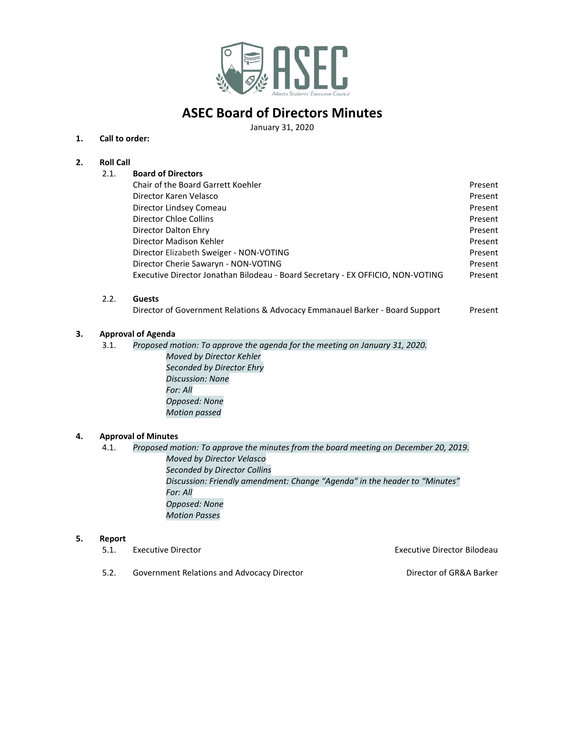

January 31, 2020

### **1. Call to order:**

### **2. Roll Call**

| 2.1. |  | <b>Board of Directors</b> |  |
|------|--|---------------------------|--|
|      |  |                           |  |

| Chair of the Board Garrett Koehler                                              | Present |
|---------------------------------------------------------------------------------|---------|
| Director Karen Velasco                                                          | Present |
|                                                                                 | Present |
| Director Lindsey Comeau                                                         |         |
| Director Chloe Collins                                                          | Present |
| Director Dalton Ehry                                                            | Present |
| Director Madison Kehler                                                         | Present |
| Director Elizabeth Sweiger - NON-VOTING                                         | Present |
| Director Cherie Sawaryn - NON-VOTING                                            | Present |
| Executive Director Jonathan Bilodeau - Board Secretary - EX OFFICIO, NON-VOTING | Present |
|                                                                                 |         |

#### 2.2. **Guests**

Director of Government Relations & Advocacy Emmanauel Barker - Board Support Present

### **3. Approval of Agenda**

3.1. *Proposed motion: To approve the agenda for the meeting on January 31, 2020. Moved by Director Kehler Seconded by Director Ehry Discussion: None For: All Opposed: None*

### **4. Approval of Minutes**

*Motion passed*

4.1. *Proposed motion: To approve the minutes from the board meeting on December 20, 2019. Moved by Director Velasco Seconded by Director Collins Discussion: Friendly amendment: Change "Agenda" in the header to "Minutes" For: All Opposed: None Motion Passes*

### **5. Report**

| 5.1. | Executive Director                         | Executive Director Bilodeau |
|------|--------------------------------------------|-----------------------------|
| 5.2. | Government Relations and Advocacy Director | Director of GR&A Barker     |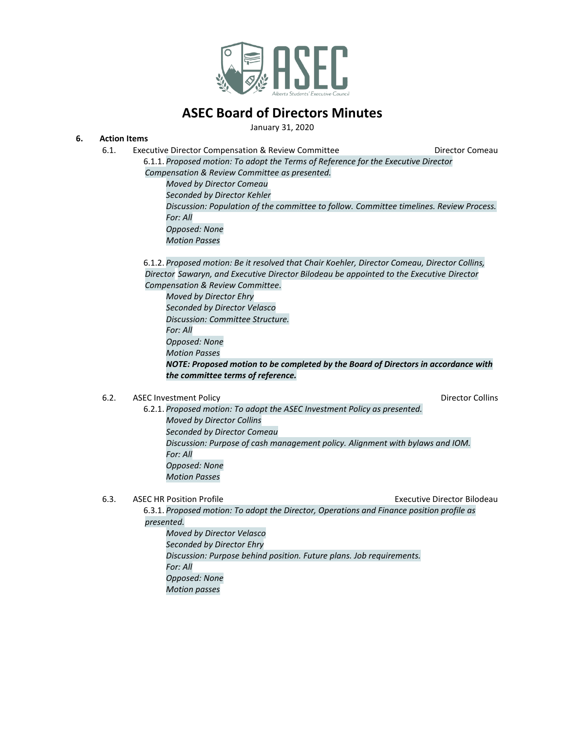

January 31, 2020

### **6. Action Items**

6.1. Executive Director Compensation & Review Committee **Director Comeau** 

6.1.1. *Proposed motion: To adopt the Terms of Reference for the Executive Director Compensation & Review Committee as presented. Moved by Director Comeau Seconded by Director Kehler Discussion: Population of the committee to follow. Committee timelines. Review Process.*

*For: All*

*Opposed: None Motion Passes*

6.1.2. *Proposed motion: Be it resolved that Chair Koehler, Director Comeau, Director Collins, Director Sawaryn, and Executive Director Bilodeau be appointed to the Executive Director Compensation & Review Committee.*

*Moved by Director Ehry Seconded by Director Velasco Discussion: Committee Structure. For: All Opposed: None Motion Passes NOTE: Proposed motion to be completed by the Board of Directors in accordance with the committee terms of reference.*

6.2. ASEC Investment Policy Director Collins and Director Collins and Director Collins and Director Collins and Director Collins

6.2.1. *Proposed motion: To adopt the ASEC Investment Policy as presented. Moved by Director Collins Seconded by Director Comeau Discussion: Purpose of cash management policy. Alignment with bylaws and IOM. For: All Opposed: None Motion Passes*

6.3. ASEC HR Position Profile Executive Director Bilodeau 6.3.1. *Proposed motion: To adopt the Director, Operations and Finance position profile as presented. Moved by Director Velasco Seconded by Director Ehry*

*Discussion: Purpose behind position. Future plans. Job requirements. For: All Opposed: None Motion passes*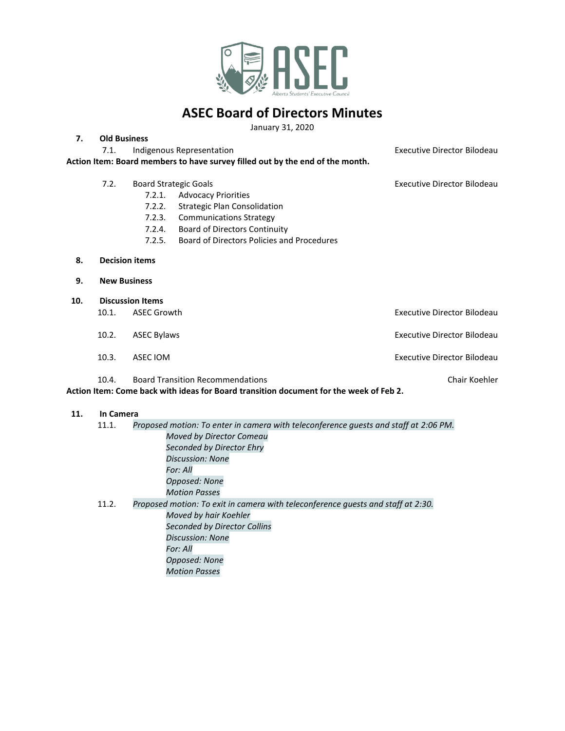

January 31, 2020

| 7.  | <b>Old Business</b> |                              |                                                                                                                                   |                             |
|-----|---------------------|------------------------------|-----------------------------------------------------------------------------------------------------------------------------------|-----------------------------|
|     | 7.1.                |                              | Indigenous Representation                                                                                                         | Executive Director Bilodeau |
|     |                     |                              | Action Item: Board members to have survey filled out by the end of the month.                                                     |                             |
|     |                     |                              |                                                                                                                                   |                             |
|     | 7.2.                | <b>Board Strategic Goals</b> |                                                                                                                                   | Executive Director Bilodeau |
|     |                     | 7.2.1.                       | <b>Advocacy Priorities</b>                                                                                                        |                             |
|     |                     | 7.2.2.                       | <b>Strategic Plan Consolidation</b>                                                                                               |                             |
|     |                     | 7.2.3.                       | <b>Communications Strategy</b>                                                                                                    |                             |
|     |                     |                              | 7.2.4. Board of Directors Continuity                                                                                              |                             |
|     |                     | 7.2.5.                       | <b>Board of Directors Policies and Procedures</b>                                                                                 |                             |
|     |                     |                              |                                                                                                                                   |                             |
| 8.  |                     | <b>Decision items</b>        |                                                                                                                                   |                             |
| 9.  | <b>New Business</b> |                              |                                                                                                                                   |                             |
| 10. |                     | <b>Discussion Items</b>      |                                                                                                                                   |                             |
|     | 10.1.               | <b>ASEC Growth</b>           |                                                                                                                                   | Executive Director Bilodeau |
|     | 10.2.               | <b>ASEC Bylaws</b>           |                                                                                                                                   | Executive Director Bilodeau |
|     | 10.3.               | ASEC IOM                     |                                                                                                                                   | Executive Director Bilodeau |
|     | 10.4.               |                              | <b>Board Transition Recommendations</b><br>Action Item: Come back with ideas for Board transition document for the week of Feb 2. | Chair Koehler               |

### **11. In Camera**

| 11.1. | Proposed motion: To enter in camera with teleconference quests and staff at 2:06 PM. |
|-------|--------------------------------------------------------------------------------------|
|       | Moved by Director Comeau                                                             |
|       | Seconded by Director Ehry                                                            |
|       | Discussion: None                                                                     |
|       | For: All                                                                             |
|       | Opposed: None                                                                        |
|       | <b>Motion Passes</b>                                                                 |
| 11.2. | Proposed motion: To exit in camera with teleconference quests and staff at 2:30.     |
|       | Moved by hair Koehler                                                                |
|       | Seconded by Director Collins                                                         |
|       | Discussion: None                                                                     |
|       | For: All                                                                             |
|       | Opposed: None                                                                        |
|       | <b>Motion Passes</b>                                                                 |